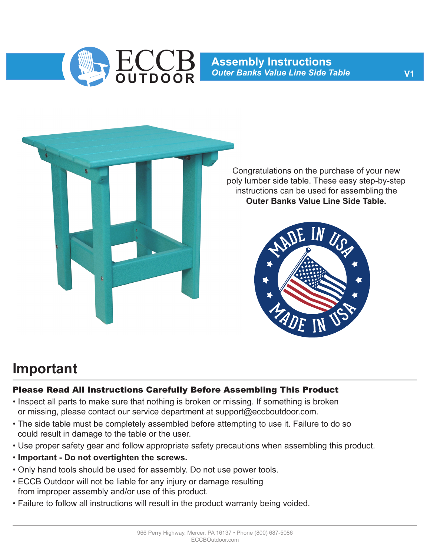

**Assembly Instructions** ECCB *Outer Banks Value Line Side Table* **OUTDOOR V1**



Congratulations on the purchase of your new poly lumber side table. These easy step-by-step instructions can be used for assembling the **Outer Banks Value Line Side Table.**



#### **Important**

#### Please Read All Instructions Carefully Before Assembling This Product

- Inspect all parts to make sure that nothing is broken or missing. If something is broken or missing, please contact our service department at support@eccboutdoor.com.
- The side table must be completely assembled before attempting to use it. Failure to do so could result in damage to the table or the user.
- Use proper safety gear and follow appropriate safety precautions when assembling this product.
- **Important Do not overtighten the screws.**
- Only hand tools should be used for assembly. Do not use power tools.
- ECCB Outdoor will not be liable for any injury or damage resulting from improper assembly and/or use of this product.
- Failure to follow all instructions will result in the product warranty being voided.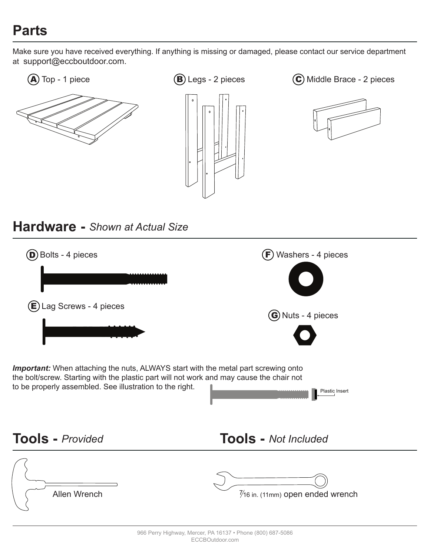## **Parts**

Make sure you have received everything. If anything is missing or damaged, please contact our service department at support@eccboutdoor.com.









#### **Hardware -** *Shown at Actual Size*

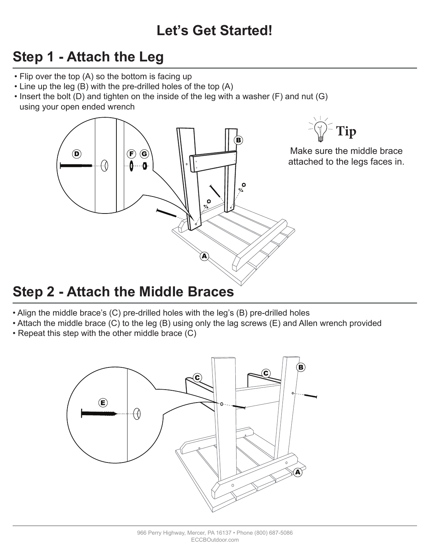# **Let's Get Started!**

# **Step 1 - Attach the Leg**

- Flip over the top (A) so the bottom is facing up
- Line up the leg (B) with the pre-drilled holes of the top (A)
- Insert the bolt (D) and tighten on the inside of the leg with a washer (F) and nut (G) using your open ended wrench



### **Step 2 - Attach the Middle Braces**

- Align the middle brace's (C) pre-drilled holes with the leg's (B) pre-drilled holes
- Attach the middle brace (C) to the leg (B) using only the lag screws (E) and Allen wrench provided
- Repeat this step with the other middle brace (C)